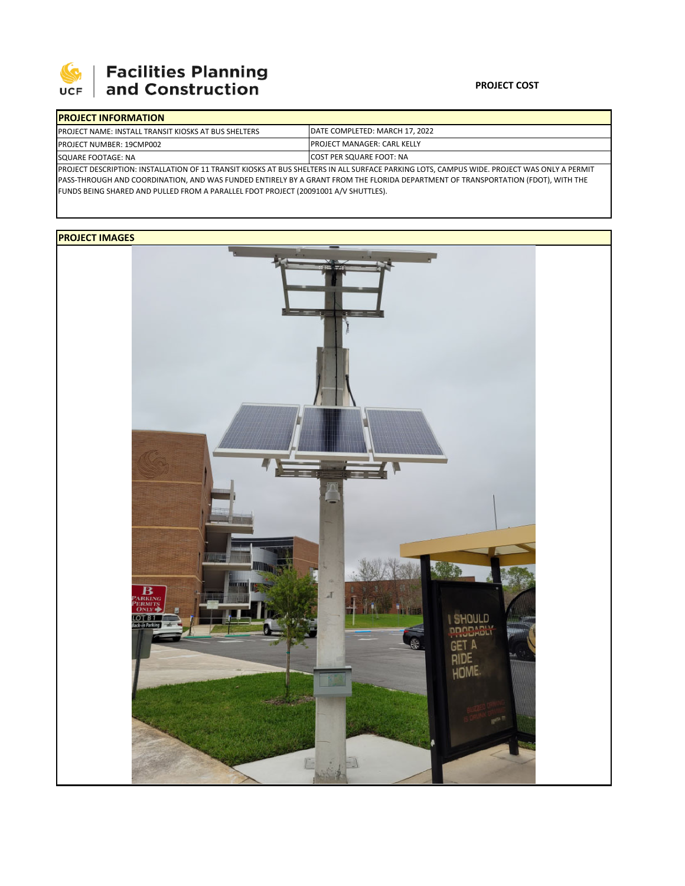

# **Facilities Planning**<br>and Construction

#### **PROJECT COST**

| <b>IPROJECT INFORMATION</b>                                                                                                                |                                                                         |  |  |  |  |  |
|--------------------------------------------------------------------------------------------------------------------------------------------|-------------------------------------------------------------------------|--|--|--|--|--|
| <b>PROJECT NAME: INSTALL TRANSIT KIOSKS AT BUS SHELTERS</b>                                                                                | <b>IDATE COMPLETED: MARCH 17, 2022</b>                                  |  |  |  |  |  |
| <b>PROJECT NUMBER: 19CMP002</b>                                                                                                            | <b>IPROJECT MANAGER: CARL KELLY</b><br><b>ICOST PER SQUARE FOOT: NA</b> |  |  |  |  |  |
| SQUARE FOOTAGE: NA                                                                                                                         |                                                                         |  |  |  |  |  |
| PROJECT DESCRIPTION: INSTALLATION OF 11 TRANSIT KIOSKS AT BUS SHELTERS IN ALL SURFACE PARKING LOTS, CAMPUS WIDE. PROJECT WAS ONLY A PERMIT |                                                                         |  |  |  |  |  |

PASS‐THROUGH AND COORDINATION, AND WAS FUNDED ENTIRELY BY A GRANT FROM THE FLORIDA DEPARTMENT OF TRANSPORTATION (FDOT), WITH THE FUNDS BEING SHARED AND PULLED FROM A PARALLEL FDOT PROJECT (20091001 A/V SHUTTLES).

## **PROJECT IMAGES**